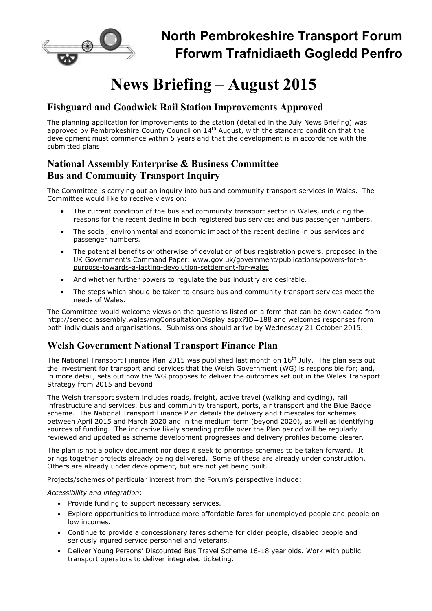

## **North Pembrokeshire Transport Forum Fforwm Trafnidiaeth Gogledd Penfro**

# **News Briefing – August 2015**

## **Fishguard and Goodwick Rail Station Improvements Approved**

The planning application for improvements to the station (detailed in the July News Briefing) was approved by Pembrokeshire County Council on 14<sup>th</sup> August, with the standard condition that the development must commence within 5 years and that the development is in accordance with the submitted plans.

## **National Assembly Enterprise & Business Committee Bus and Community Transport Inquiry**

The Committee is carrying out an inquiry into bus and community transport services in Wales. The Committee would like to receive views on:

- The current condition of the bus and community transport sector in Wales, including the reasons for the recent decline in both registered bus services and bus passenger numbers.
- The social, environmental and economic impact of the recent decline in bus services and passenger numbers.
- The potential benefits or otherwise of devolution of bus registration powers, proposed in the UK Government's Command Paper: www.gov.uk/government/publications/powers-for-apurpose-towards-a-lasting-devolution-settlement-for-wales.
- And whether further powers to regulate the bus industry are desirable.
- The steps which should be taken to ensure bus and community transport services meet the needs of Wales.

The Committee would welcome views on the questions listed on a form that can be downloaded from http://senedd.assembly.wales/mgConsultationDisplay.aspx?ID=188 and welcomes responses from both individuals and organisations. Submissions should arrive by Wednesday 21 October 2015.

## **Welsh Government National Transport Finance Plan**

The National Transport Finance Plan 2015 was published last month on  $16<sup>th</sup>$  July. The plan sets out the investment for transport and services that the Welsh Government (WG) is responsible for; and, in more detail, sets out how the WG proposes to deliver the outcomes set out in the Wales Transport Strategy from 2015 and beyond.

The Welsh transport system includes roads, freight, active travel (walking and cycling), rail infrastructure and services, bus and community transport, ports, air transport and the Blue Badge scheme. The National Transport Finance Plan details the delivery and timescales for schemes between April 2015 and March 2020 and in the medium term (beyond 2020), as well as identifying sources of funding. The indicative likely spending profile over the Plan period will be regularly reviewed and updated as scheme development progresses and delivery profiles become clearer.

The plan is not a policy document nor does it seek to prioritise schemes to be taken forward. It brings together projects already being delivered. Some of these are already under construction. Others are already under development, but are not yet being built.

Projects/schemes of particular interest from the Forum's perspective include:

*Accessibility and integration*:

- Provide funding to support necessary services.
- Explore opportunities to introduce more affordable fares for unemployed people and people on low incomes.
- Continue to provide a concessionary fares scheme for older people, disabled people and seriously injured service personnel and veterans.
- Deliver Young Persons' Discounted Bus Travel Scheme 16-18 year olds. Work with public transport operators to deliver integrated ticketing.